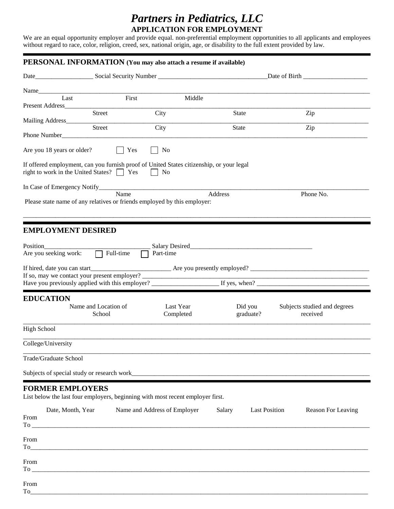## *Partners in Pediatrics, LLC* **APPLICATION FOR EMPLOYMENT**

We are an equal opportunity employer and provide equal. non-preferential employment opportunities to all applicants and employees without regard to race, color, religion, creed, sex, national origin, age, or disability to the full extent provided by law.

| Name_<br>Last              | First                                          | Middle                                                                                         |                                |                              |
|----------------------------|------------------------------------------------|------------------------------------------------------------------------------------------------|--------------------------------|------------------------------|
| Present Address_           |                                                |                                                                                                |                                |                              |
| Mailing Address            | Street                                         | City                                                                                           | <b>State</b>                   | Zip                          |
|                            | Street                                         | City                                                                                           | <b>State</b>                   | Zip                          |
|                            |                                                |                                                                                                |                                |                              |
| Are you 18 years or older? | Yes                                            | No                                                                                             |                                |                              |
|                            | right to work in the United States? $\Box$ Yes | If offered employment, can you furnish proof of United States citizenship, or your legal<br>No |                                |                              |
|                            |                                                |                                                                                                |                                |                              |
|                            | Name                                           |                                                                                                | Address                        | Phone No.                    |
|                            |                                                | Please state name of any relatives or friends employed by this employer:                       |                                |                              |
|                            |                                                |                                                                                                |                                |                              |
| <b>EMPLOYMENT DESIRED</b>  |                                                |                                                                                                |                                |                              |
| Position                   |                                                |                                                                                                |                                |                              |
| Are you seeking work:      | $\Box$ Full-time                               | Part-time                                                                                      |                                |                              |
|                            |                                                |                                                                                                |                                |                              |
|                            | If so, may we contact your present employer?   |                                                                                                |                                |                              |
|                            |                                                |                                                                                                |                                |                              |
| <b>EDUCATION</b>           |                                                |                                                                                                |                                |                              |
|                            | Name and Location of                           | Last Year                                                                                      | Did you                        | Subjects studied and degrees |
|                            | School                                         | Completed                                                                                      | graduate?                      | received                     |
| <b>High School</b>         |                                                |                                                                                                |                                |                              |
| College/University         |                                                |                                                                                                |                                |                              |
| Trade/Graduate School      |                                                |                                                                                                |                                |                              |
|                            |                                                |                                                                                                |                                |                              |
|                            |                                                |                                                                                                |                                |                              |
|                            |                                                |                                                                                                |                                |                              |
| <b>FORMER EMPLOYERS</b>    |                                                |                                                                                                |                                |                              |
|                            |                                                | List below the last four employers, beginning with most recent employer first.                 |                                |                              |
| Date, Month, Year<br>From  |                                                | Name and Address of Employer                                                                   | Salary<br><b>Last Position</b> | Reason For Leaving           |
|                            |                                                |                                                                                                |                                |                              |
|                            |                                                |                                                                                                |                                |                              |
| From                       |                                                |                                                                                                |                                |                              |
|                            |                                                |                                                                                                |                                |                              |
| From                       |                                                |                                                                                                |                                |                              |

 ${\rm To}$  . To an allowing the state of the state of the state of the state of the state of the state of the state of the state of the state of the state of the state of the state of the state of the state of the state of th